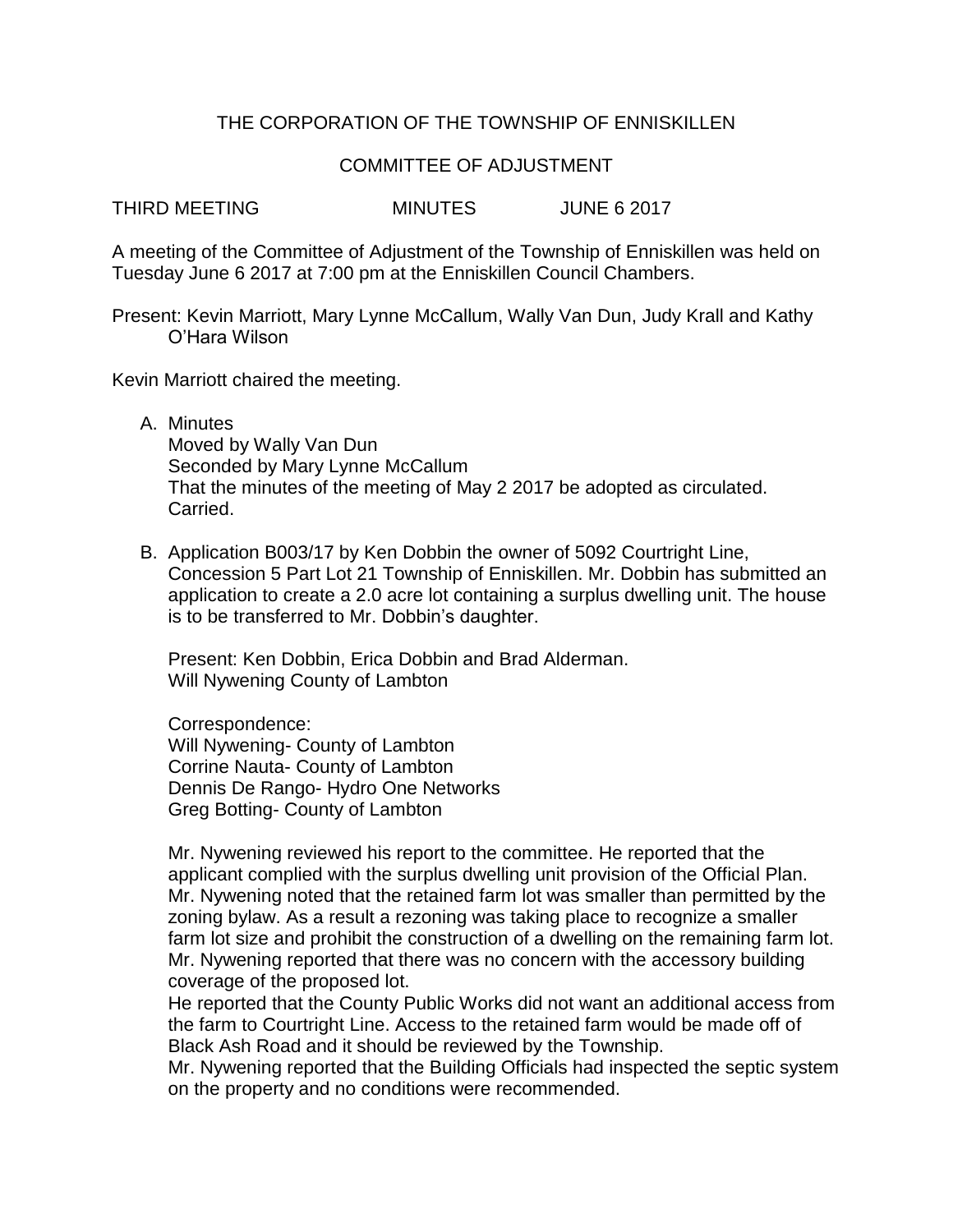## THE CORPORATION OF THE TOWNSHIP OF ENNISKILLEN

## COMMITTEE OF ADJUSTMENT

THIRD MEETING MINUTES JUNE 6 2017

A meeting of the Committee of Adjustment of the Township of Enniskillen was held on Tuesday June 6 2017 at 7:00 pm at the Enniskillen Council Chambers.

Present: Kevin Marriott, Mary Lynne McCallum, Wally Van Dun, Judy Krall and Kathy O'Hara Wilson

Kevin Marriott chaired the meeting.

A. Minutes

Moved by Wally Van Dun Seconded by Mary Lynne McCallum That the minutes of the meeting of May 2 2017 be adopted as circulated. Carried.

B. Application B003/17 by Ken Dobbin the owner of 5092 Courtright Line, Concession 5 Part Lot 21 Township of Enniskillen. Mr. Dobbin has submitted an application to create a 2.0 acre lot containing a surplus dwelling unit. The house is to be transferred to Mr. Dobbin's daughter.

Present: Ken Dobbin, Erica Dobbin and Brad Alderman. Will Nywening County of Lambton

Correspondence: Will Nywening- County of Lambton Corrine Nauta- County of Lambton Dennis De Rango- Hydro One Networks Greg Botting- County of Lambton

Mr. Nywening reviewed his report to the committee. He reported that the applicant complied with the surplus dwelling unit provision of the Official Plan. Mr. Nywening noted that the retained farm lot was smaller than permitted by the zoning bylaw. As a result a rezoning was taking place to recognize a smaller farm lot size and prohibit the construction of a dwelling on the remaining farm lot. Mr. Nywening reported that there was no concern with the accessory building coverage of the proposed lot.

He reported that the County Public Works did not want an additional access from the farm to Courtright Line. Access to the retained farm would be made off of Black Ash Road and it should be reviewed by the Township.

Mr. Nywening reported that the Building Officials had inspected the septic system on the property and no conditions were recommended.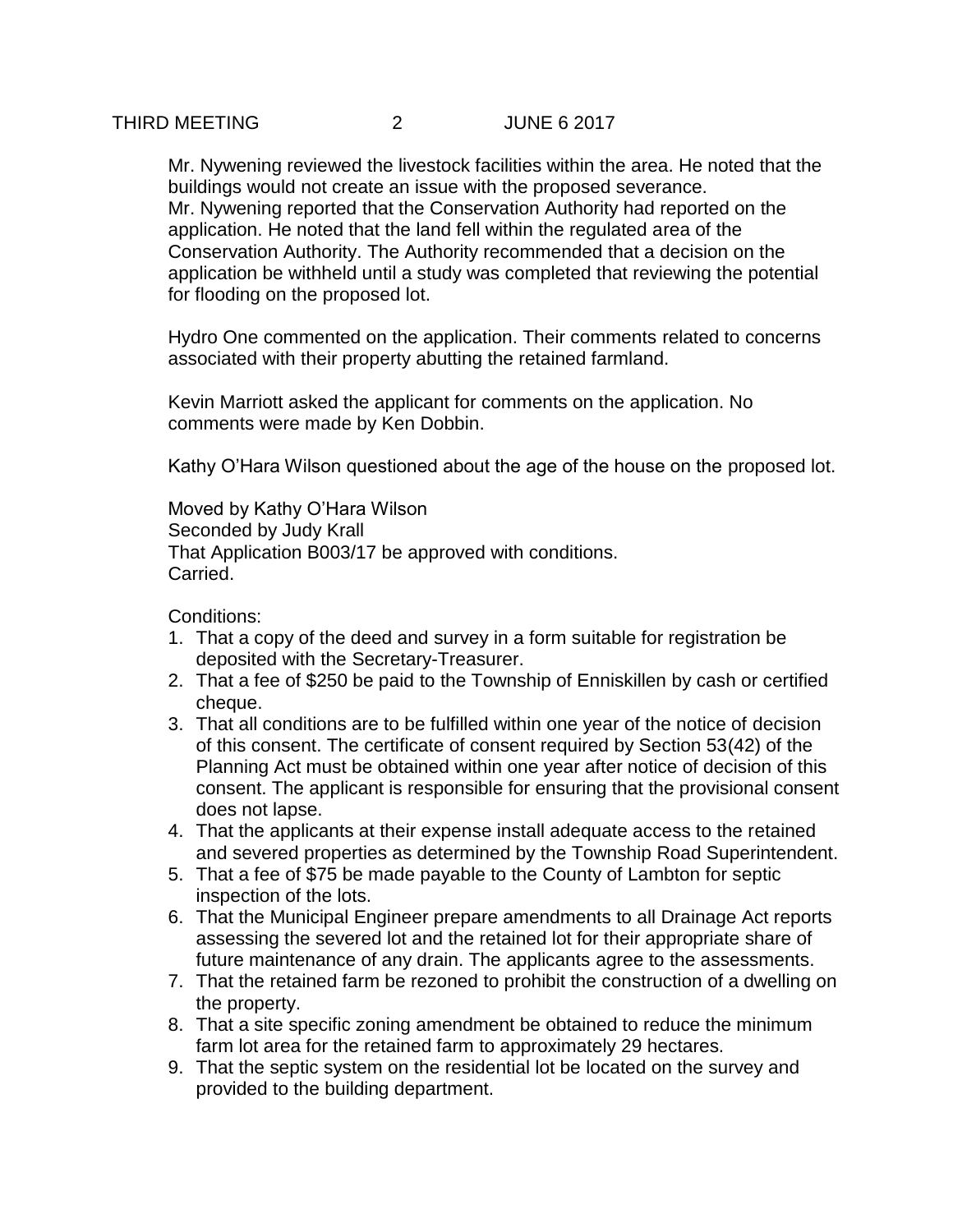Mr. Nywening reviewed the livestock facilities within the area. He noted that the buildings would not create an issue with the proposed severance. Mr. Nywening reported that the Conservation Authority had reported on the application. He noted that the land fell within the regulated area of the Conservation Authority. The Authority recommended that a decision on the application be withheld until a study was completed that reviewing the potential for flooding on the proposed lot.

Hydro One commented on the application. Their comments related to concerns associated with their property abutting the retained farmland.

Kevin Marriott asked the applicant for comments on the application. No comments were made by Ken Dobbin.

Kathy O'Hara Wilson questioned about the age of the house on the proposed lot.

Moved by Kathy O'Hara Wilson Seconded by Judy Krall That Application B003/17 be approved with conditions. Carried.

Conditions:

- 1. That a copy of the deed and survey in a form suitable for registration be deposited with the Secretary-Treasurer.
- 2. That a fee of \$250 be paid to the Township of Enniskillen by cash or certified cheque.
- 3. That all conditions are to be fulfilled within one year of the notice of decision of this consent. The certificate of consent required by Section 53(42) of the Planning Act must be obtained within one year after notice of decision of this consent. The applicant is responsible for ensuring that the provisional consent does not lapse.
- 4. That the applicants at their expense install adequate access to the retained and severed properties as determined by the Township Road Superintendent.
- 5. That a fee of \$75 be made payable to the County of Lambton for septic inspection of the lots.
- 6. That the Municipal Engineer prepare amendments to all Drainage Act reports assessing the severed lot and the retained lot for their appropriate share of future maintenance of any drain. The applicants agree to the assessments.
- 7. That the retained farm be rezoned to prohibit the construction of a dwelling on the property.
- 8. That a site specific zoning amendment be obtained to reduce the minimum farm lot area for the retained farm to approximately 29 hectares.
- 9. That the septic system on the residential lot be located on the survey and provided to the building department.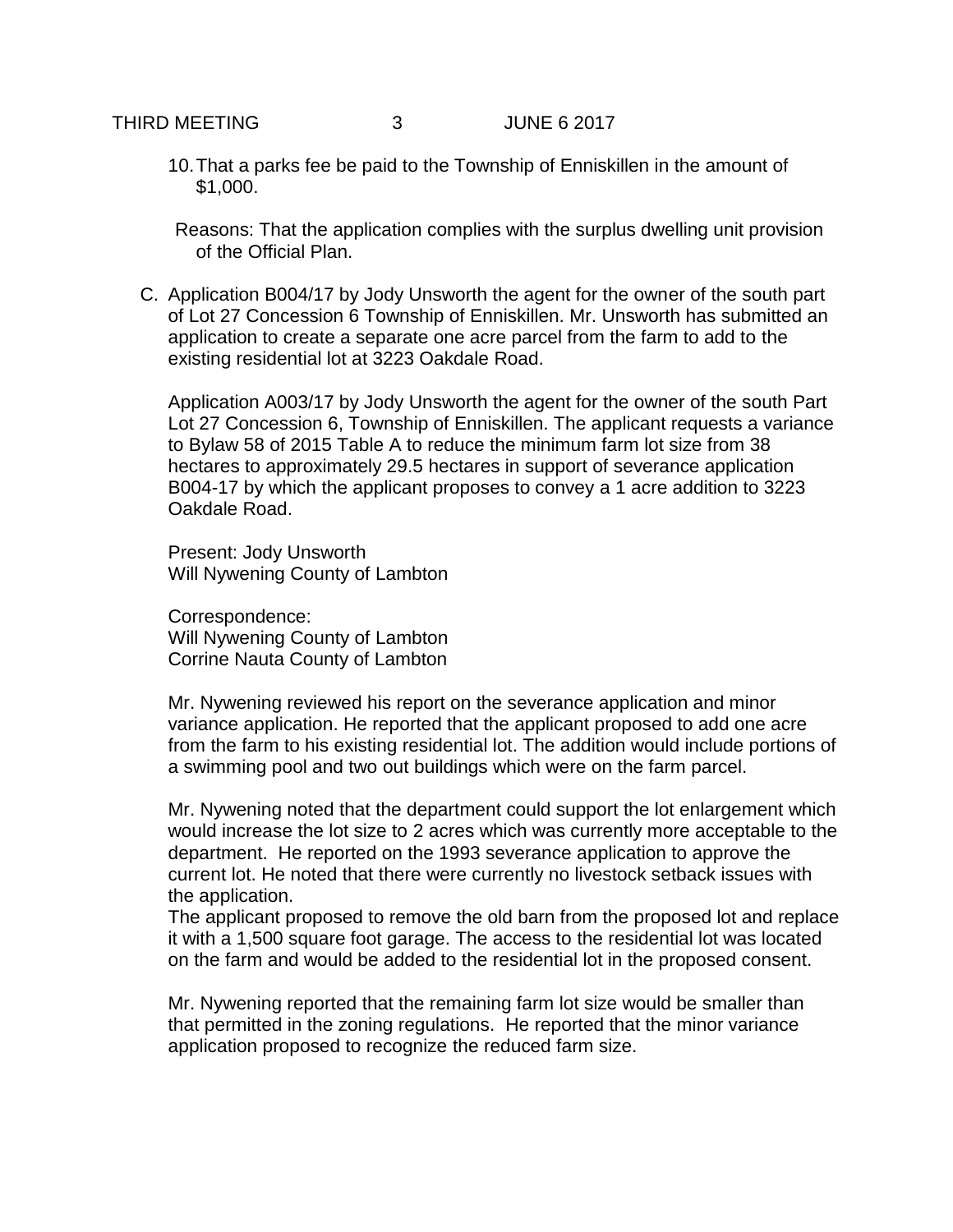10.That a parks fee be paid to the Township of Enniskillen in the amount of \$1,000.

Reasons: That the application complies with the surplus dwelling unit provision of the Official Plan.

C. Application B004/17 by Jody Unsworth the agent for the owner of the south part of Lot 27 Concession 6 Township of Enniskillen. Mr. Unsworth has submitted an application to create a separate one acre parcel from the farm to add to the existing residential lot at 3223 Oakdale Road.

Application A003/17 by Jody Unsworth the agent for the owner of the south Part Lot 27 Concession 6, Township of Enniskillen. The applicant requests a variance to Bylaw 58 of 2015 Table A to reduce the minimum farm lot size from 38 hectares to approximately 29.5 hectares in support of severance application B004-17 by which the applicant proposes to convey a 1 acre addition to 3223 Oakdale Road.

Present: Jody Unsworth Will Nywening County of Lambton

Correspondence: Will Nywening County of Lambton Corrine Nauta County of Lambton

Mr. Nywening reviewed his report on the severance application and minor variance application. He reported that the applicant proposed to add one acre from the farm to his existing residential lot. The addition would include portions of a swimming pool and two out buildings which were on the farm parcel.

Mr. Nywening noted that the department could support the lot enlargement which would increase the lot size to 2 acres which was currently more acceptable to the department. He reported on the 1993 severance application to approve the current lot. He noted that there were currently no livestock setback issues with the application.

The applicant proposed to remove the old barn from the proposed lot and replace it with a 1,500 square foot garage. The access to the residential lot was located on the farm and would be added to the residential lot in the proposed consent.

Mr. Nywening reported that the remaining farm lot size would be smaller than that permitted in the zoning regulations. He reported that the minor variance application proposed to recognize the reduced farm size.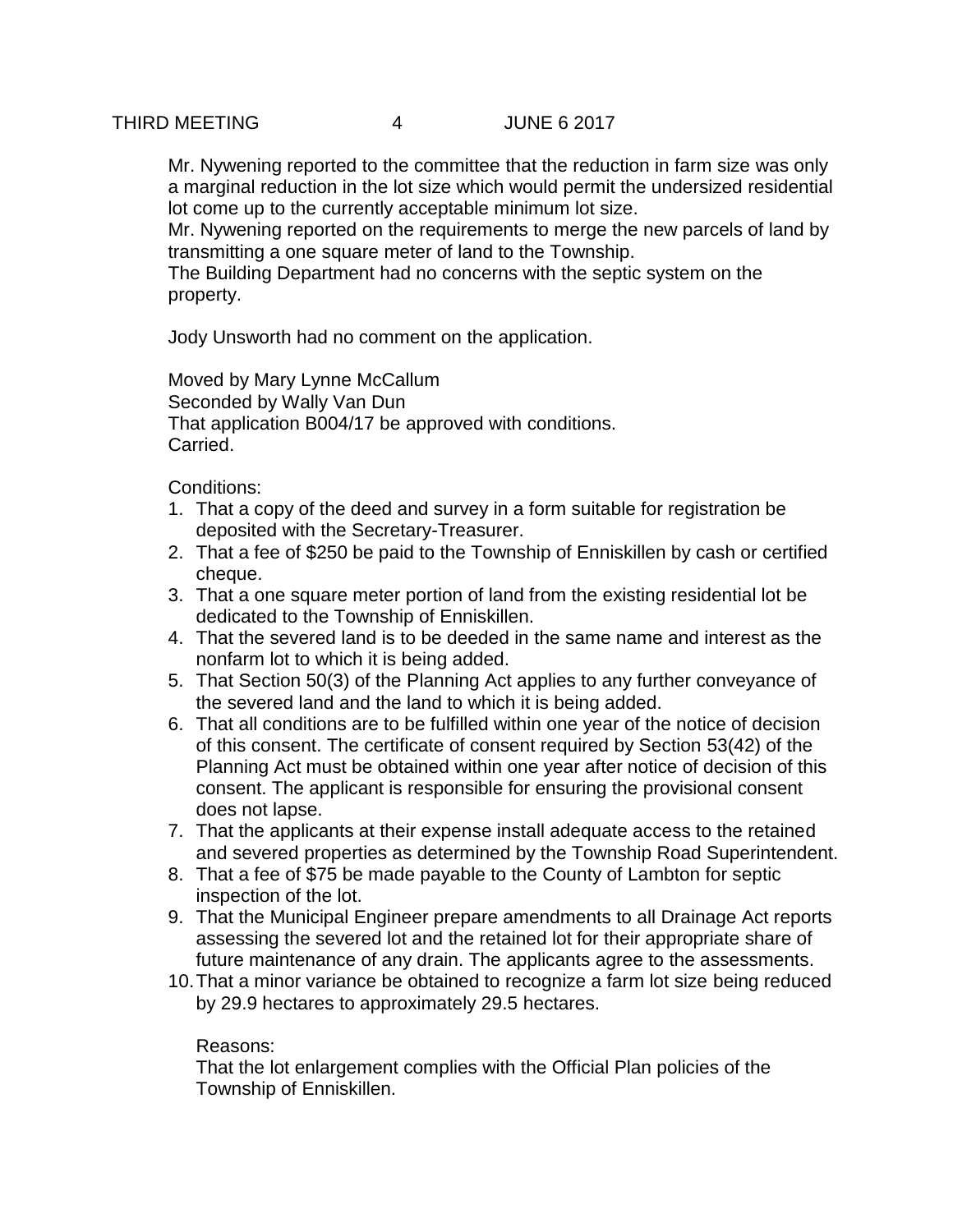Mr. Nywening reported to the committee that the reduction in farm size was only a marginal reduction in the lot size which would permit the undersized residential lot come up to the currently acceptable minimum lot size.

Mr. Nywening reported on the requirements to merge the new parcels of land by transmitting a one square meter of land to the Township.

The Building Department had no concerns with the septic system on the property.

Jody Unsworth had no comment on the application.

Moved by Mary Lynne McCallum Seconded by Wally Van Dun That application B004/17 be approved with conditions. Carried.

Conditions:

- 1. That a copy of the deed and survey in a form suitable for registration be deposited with the Secretary-Treasurer.
- 2. That a fee of \$250 be paid to the Township of Enniskillen by cash or certified cheque.
- 3. That a one square meter portion of land from the existing residential lot be dedicated to the Township of Enniskillen.
- 4. That the severed land is to be deeded in the same name and interest as the nonfarm lot to which it is being added.
- 5. That Section 50(3) of the Planning Act applies to any further conveyance of the severed land and the land to which it is being added.
- 6. That all conditions are to be fulfilled within one year of the notice of decision of this consent. The certificate of consent required by Section 53(42) of the Planning Act must be obtained within one year after notice of decision of this consent. The applicant is responsible for ensuring the provisional consent does not lapse.
- 7. That the applicants at their expense install adequate access to the retained and severed properties as determined by the Township Road Superintendent.
- 8. That a fee of \$75 be made payable to the County of Lambton for septic inspection of the lot.
- 9. That the Municipal Engineer prepare amendments to all Drainage Act reports assessing the severed lot and the retained lot for their appropriate share of future maintenance of any drain. The applicants agree to the assessments.
- 10.That a minor variance be obtained to recognize a farm lot size being reduced by 29.9 hectares to approximately 29.5 hectares.

## Reasons:

That the lot enlargement complies with the Official Plan policies of the Township of Enniskillen.